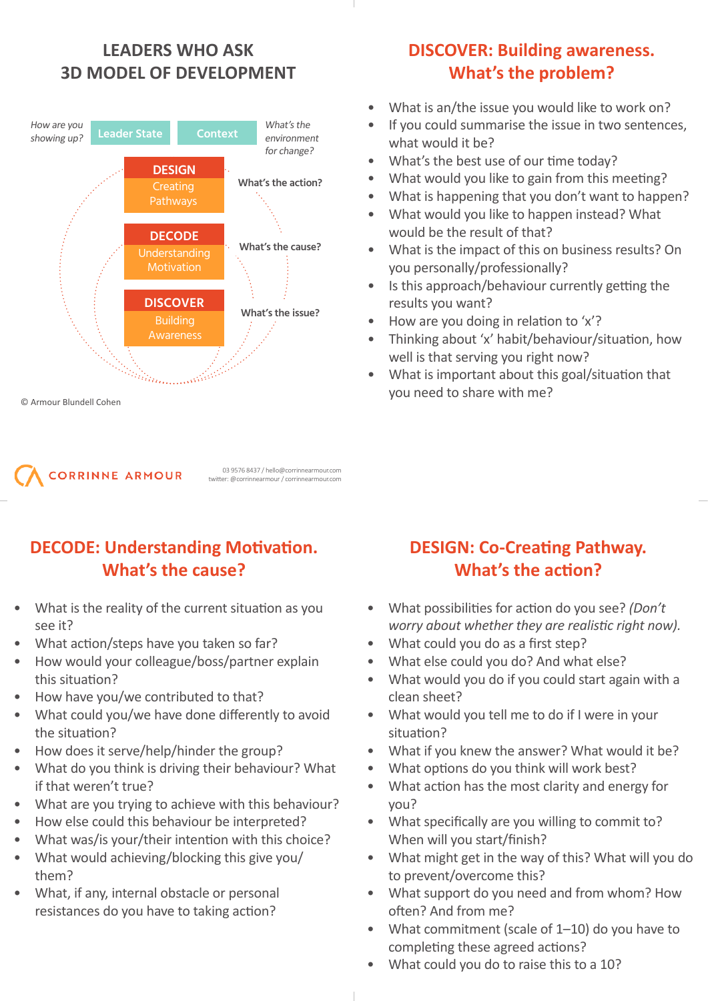# **LEADERS WHO ASK 3D MODEL OF DEVELOPMENT**





twitter: @corrinnearmour / corrinnearmour.com

03 9576 8437 / hello@corrinnearmour.com

## **DECODE: Understanding Motivation. What's the cause?**

- What is the reality of the current situation as you see it?
- What action/steps have you taken so far?
- How would your colleague/boss/partner explain this situation?
- How have you/we contributed to that?
- What could you/we have done differently to avoid the situation?
- How does it serve/help/hinder the group?
- What do you think is driving their behaviour? What if that weren't true?
- What are you trying to achieve with this behaviour?
- How else could this behaviour be interpreted?
- What was/is your/their intention with this choice?
- What would achieving/blocking this give you/ them?
- What, if any, internal obstacle or personal resistances do you have to taking action?

# **DISCOVER: Building awareness. What's the problem?**

- What is an/the issue you would like to work on?
- If you could summarise the issue in two sentences, what would it be?
- What's the best use of our time today?
- What would you like to gain from this meeting?
- What is happening that you don't want to happen?
- What would you like to happen instead? What would be the result of that?
- What is the impact of this on business results? On you personally/professionally?
- Is this approach/behaviour currently getting the results you want?
- How are you doing in relation to 'x'?
- Thinking about 'x' habit/behaviour/situation, how well is that serving you right now?
- What is important about this goal/situation that you need to share with me?

- **DESIGN: Co-Creating Pathway. What's the action?**
- What possibilities for action do you see? *(Don't worry about whether they are realistic right now).*
- What could you do as a first step?
- What else could you do? And what else?
- What would you do if you could start again with a clean sheet?
- What would you tell me to do if I were in your situation?
- What if you knew the answer? What would it be?
- What options do you think will work best?
- What action has the most clarity and energy for you?
- What specifically are you willing to commit to? When will you start/finish?
- What might get in the way of this? What will you do to prevent/overcome this?
- What support do you need and from whom? How often? And from me?
- What commitment (scale of 1-10) do you have to completing these agreed actions?
- What could you do to raise this to a 10?